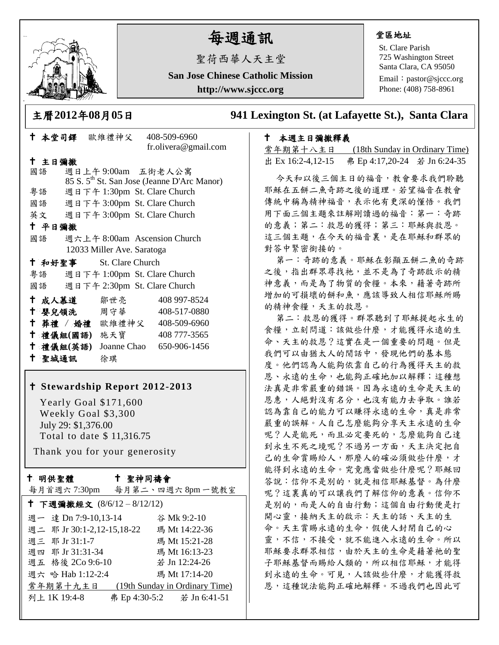

# 每週通訊

聖荷西華人天主堂

**San Jose Chinese Catholic Mission**

**http://www.sjccc.org**

 本堂司鐸 歐維禮神父 408-509-6960 fr.olivera@gmail.com 主日彌撒 國語 週日上午 9:00am 五街老人公寓 85 S. 5th St. San Jose (Jeanne D'Arc Manor) 粵語 週日下午 1:30pm St. Clare Church 國語 週日下午 3:00pm St. Clare Church

- 英文 週日下午 3:00pm St. Clare Church
- 平日彌撒
- 國語 週六上午 8:00am Ascension Church 12033 Miller Ave. Saratoga

|    | 十 和好聖事 |  | St. Clare Church             |  |  |
|----|--------|--|------------------------------|--|--|
| 粤語 |        |  | 週日下午 1:00pm St. Clare Church |  |  |
| 國語 |        |  | 週日下午 2:30pm St. Clare Church |  |  |

| 十 成人慕道    | 鄒世亮         | 408 997-8524 |
|-----------|-------------|--------------|
| 十 嬰兒領洗    | 周守華         | 408-517-0880 |
| † 葬禮 / 婚禮 | 歐維禮神父       | 408-509-6960 |
| 十 禮儀組(國語) | 施天寶         | 408 777-3565 |
| 十 禮儀組(英語) | Joanne Chao | 650-906-1456 |
| 十 聖城通訊    | 徐琪          |              |

## **Stewardship Report 2012-2013**

 Yearly Goal \$171,600 Weekly Goal \$3,300 July 29: \$1,376.00 Total to date \$ 11,316.75

Thank you for your generosity

#### 十 明供聖體

### 聖神同禱會

|                            | 每月首週六7:30pm 每月第二、四週六8pm一號教室    |
|----------------------------|--------------------------------|
| † 下週彌撒經文 (8/6/12-8/12/12)  |                                |
| 週一 達 Dn 7:9-10,13-14       | 谷 Mk 9:2-10                    |
| 週二 耶 Jr 30:1-2,12-15,18-22 | 瑪 Mt 14:22-36                  |
| 週三 耶 Jr 31:1-7             | 瑪 Mt 15:21-28                  |
| 週四 耶 Jr 31:31-34           | 瑪 Mt 16:13-23                  |
| 週五 格後 2Co 9:6-10           | 若 Jn 12:24-26                  |
| 週六 哈 Hab 1:12-2:4          | 瑪 Mt 17:14-20                  |
| 常年期第十九主日                   | (19th Sunday in Ordinary Time) |
| 列上 1K 19:4-8               | 弗 Ep 4:30-5:2 若 Jn 6:41-51     |
|                            |                                |

#### 堂區地址

St. Clare Parish 725 Washington Street Santa Clara, CA 95050

Email: [pastor@sjccc.org](mailto:pastor@sjccc.org) Phone: (408) 758-8961

# 主曆**2012**年**08**月**05**日 **941 Lexington St. (at Lafayette St.), Santa Clara**

#### 本週主日彌撒釋義

常年期第十八主日 (18th Sunday in Ordinary Time) 出 Ex 16:2-4,12-15 弗 Ep 4:17,20-24 若 Jn 6:24-35

今天和以後三個主日的福音,教會要求我們聆聽 耶穌在五餅二魚奇跡之後的道理。若望福音在教會 傳統中稱為精神福音,表示他有更深的懂悟。我們 用下面三個主題來註解剛讀過的福音:第一:奇跡 的意義;第二:救恩的獲得;第三:耶穌與救恩。 這三個主題,在今天的福音裏,是在耶穌和群眾的 對答中緊密銜接的。

第一:奇跡的意義。耶穌在彰顯五餅二魚的奇跡 之後,指出群眾尋找祂,並不是為了奇跡啟示的精 神意義,而是為了物質的食糧。本來,藉著奇跡所 增加的可損壞的餅和魚,應該導致人相信耶穌所賜 的精神食糧,天主的救恩。

第二:救恩的獲得。群眾聽到了耶穌提起永生的 食糧,立刻問道:該做些什麼,才能獲得永遠的生 命、天主的救恩?這實在是一個重要的問題。但是 我們可以由猶太人的閒話中,發現他們的基本態 度。他們認為人能夠依靠自己的行為獲得天主的救 恩、永遠的生命,也能夠正確地加以解釋;這種想 法真是非常嚴重的錯誤。因為永遠的生命是天主的 恩惠,人絕對沒有名分,也沒有能力去爭取。誰若 認為靠自己的能力可以賺得永遠的生命,真是非常 嚴重的誤解。人自己怎麼能夠分享天主永遠的生命 呢?人是能死,而且必定要死的,怎麼能夠自己達 到永生不死之境呢?不過另一方面,天主決定把自 己的生命賞賜給人,那麼人的確必須做些什麼,才 能得到永遠的生命。究竟應當做些什麼呢?耶穌回 答說:信仰不是別的,就是相信耶穌基督。為什麼 呢?這裏真的可以讓我們了解信仰的意義。信仰不 是別的,而是人的自由行動;這個自由行動便是打 開心靈,接納天主的啟示:天主的話、天主的生 命。天主賞賜永遠的生命,假使人封閉自己的心 靈,不信,不接受,就不能進入永遠的生命。所以 耶穌要求群眾相信,由於天主的生命是藉著祂的聖 子耶穌基督而賜給人類的,所以相信耶穌,才能得 到永遠的生命。可見,人該做些什麼,才能獲得救 恩,這種說法能夠正確地解釋。不過我們也因此可